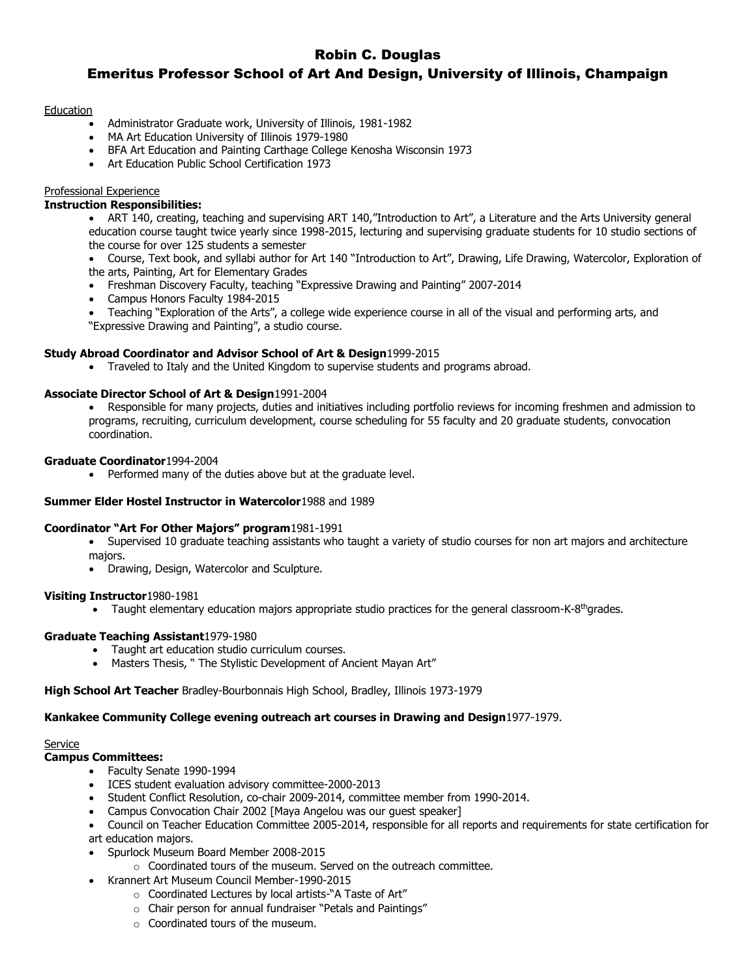# Robin C. Douglas

# Emeritus Professor School of Art And Design, University of Illinois, Champaign

## **Education**

- Administrator Graduate work, University of Illinois, 1981-1982
- MA Art Education University of Illinois 1979-1980
- BFA Art Education and Painting Carthage College Kenosha Wisconsin 1973
- Art Education Public School Certification 1973

## Professional Experience

## **Instruction Responsibilities:**

• ART 140, creating, teaching and supervising ART 140,"Introduction to Art", a Literature and the Arts University general education course taught twice yearly since 1998-2015, lecturing and supervising graduate students for 10 studio sections of the course for over 125 students a semester

 Course, Text book, and syllabi author for Art 140 "Introduction to Art", Drawing, Life Drawing, Watercolor, Exploration of the arts, Painting, Art for Elementary Grades

- Freshman Discovery Faculty, teaching "Expressive Drawing and Painting" 2007-2014
- Campus Honors Faculty 1984-2015
- Teaching "Exploration of the Arts", a college wide experience course in all of the visual and performing arts, and "Expressive Drawing and Painting", a studio course.

## **Study Abroad Coordinator and Advisor School of Art & Design**1999-2015

Traveled to Italy and the United Kingdom to supervise students and programs abroad.

## **Associate Director School of Art & Design**1991-2004

 Responsible for many projects, duties and initiatives including portfolio reviews for incoming freshmen and admission to programs, recruiting, curriculum development, course scheduling for 55 faculty and 20 graduate students, convocation coordination.

## **Graduate Coordinator**1994-2004

• Performed many of the duties above but at the graduate level.

## **Summer Elder Hostel Instructor in Watercolor**1988 and 1989

## **Coordinator "Art For Other Majors" program**1981-1991

- Supervised 10 graduate teaching assistants who taught a variety of studio courses for non art majors and architecture majors.
- Drawing, Design, Watercolor and Sculpture.

## **Visiting Instructor**1980-1981

• Taught elementary education majors appropriate studio practices for the general classroom-K-8<sup>th</sup>grades.

## **Graduate Teaching Assistant**1979-1980

- Taught art education studio curriculum courses.
- Masters Thesis, " The Stylistic Development of Ancient Mayan Art"

**High School Art Teacher** Bradley-Bourbonnais High School, Bradley, Illinois 1973-1979

## **Kankakee Community College evening outreach art courses in Drawing and Design**1977-1979.

#### Service

#### **Campus Committees:**

- Faculty Senate 1990-1994
- ICES student evaluation advisory committee-2000-2013
- Student Conflict Resolution, co-chair 2009-2014, committee member from 1990-2014.
- Campus Convocation Chair 2002 [Maya Angelou was our guest speaker]
- Council on Teacher Education Committee 2005-2014, responsible for all reports and requirements for state certification for
- art education majors.
- Spurlock Museum Board Member 2008-2015
	- $\circ$  Coordinated tours of the museum. Served on the outreach committee.
- Krannert Art Museum Council Member-1990-2015
	- o Coordinated Lectures by local artists-"A Taste of Art"
		- o Chair person for annual fundraiser "Petals and Paintings"
		- $\circ$  Coordinated tours of the museum.